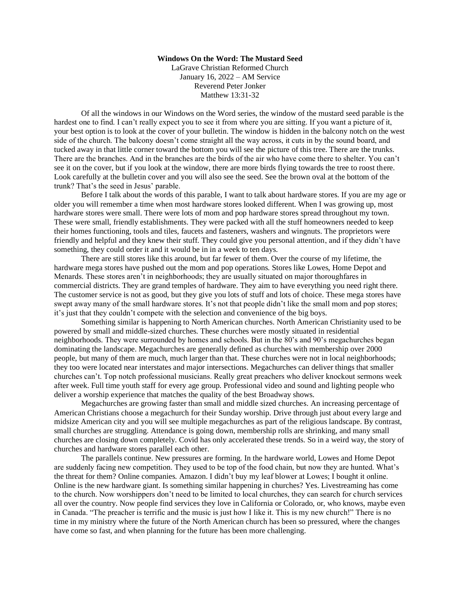## **Windows On the Word: The Mustard Seed**

LaGrave Christian Reformed Church January 16, 2022 – AM Service Reverend Peter Jonker Matthew 13:31-32

Of all the windows in our Windows on the Word series, the window of the mustard seed parable is the hardest one to find. I can't really expect you to see it from where you are sitting. If you want a picture of it, your best option is to look at the cover of your bulletin. The window is hidden in the balcony notch on the west side of the church. The balcony doesn't come straight all the way across, it cuts in by the sound board, and tucked away in that little corner toward the bottom you will see the picture of this tree. There are the trunks. There are the branches. And in the branches are the birds of the air who have come there to shelter. You can't see it on the cover, but if you look at the window, there are more birds flying towards the tree to roost there. Look carefully at the bulletin cover and you will also see the seed. See the brown oval at the bottom of the trunk? That's the seed in Jesus' parable.

Before I talk about the words of this parable, I want to talk about hardware stores. If you are my age or older you will remember a time when most hardware stores looked different. When I was growing up, most hardware stores were small. There were lots of mom and pop hardware stores spread throughout my town. These were small, friendly establishments. They were packed with all the stuff homeowners needed to keep their homes functioning, tools and tiles, faucets and fasteners, washers and wingnuts. The proprietors were friendly and helpful and they knew their stuff. They could give you personal attention, and if they didn't have something, they could order it and it would be in in a week to ten days.

There are still stores like this around, but far fewer of them. Over the course of my lifetime, the hardware mega stores have pushed out the mom and pop operations. Stores like Lowes, Home Depot and Menards. These stores aren't in neighborhoods; they are usually situated on major thoroughfares in commercial districts. They are grand temples of hardware. They aim to have everything you need right there. The customer service is not as good, but they give you lots of stuff and lots of choice. These mega stores have swept away many of the small hardware stores. It's not that people didn't like the small mom and pop stores; it's just that they couldn't compete with the selection and convenience of the big boys.

Something similar is happening to North American churches. North American Christianity used to be powered by small and middle-sized churches. These churches were mostly situated in residential neighborhoods. They were surrounded by homes and schools. But in the 80's and 90's megachurches began dominating the landscape. Megachurches are generally defined as churches with membership over 2000 people, but many of them are much, much larger than that. These churches were not in local neighborhoods; they too were located near interstates and major intersections. Megachurches can deliver things that smaller churches can't. Top notch professional musicians. Really great preachers who deliver knockout sermons week after week. Full time youth staff for every age group. Professional video and sound and lighting people who deliver a worship experience that matches the quality of the best Broadway shows.

Megachurches are growing faster than small and middle sized churches. An increasing percentage of American Christians choose a megachurch for their Sunday worship. Drive through just about every large and midsize American city and you will see multiple megachurches as part of the religious landscape. By contrast, small churches are struggling. Attendance is going down, membership rolls are shrinking, and many small churches are closing down completely. Covid has only accelerated these trends. So in a weird way, the story of churches and hardware stores parallel each other.

The parallels continue. New pressures are forming. In the hardware world, Lowes and Home Depot are suddenly facing new competition. They used to be top of the food chain, but now they are hunted. What's the threat for them? Online companies. Amazon. I didn't buy my leaf blower at Lowes; I bought it online. Online is the new hardware giant. Is something similar happening in churches? Yes. Livestreaming has come to the church. Now worshippers don't need to be limited to local churches, they can search for church services all over the country. Now people find services they love in California or Colorado, or, who knows, maybe even in Canada. "The preacher is terrific and the music is just how I like it. This is my new church!" There is no time in my ministry where the future of the North American church has been so pressured, where the changes have come so fast, and when planning for the future has been more challenging.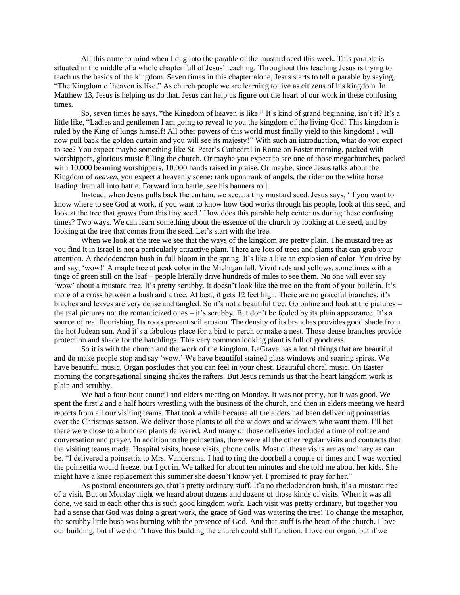All this came to mind when I dug into the parable of the mustard seed this week. This parable is situated in the middle of a whole chapter full of Jesus' teaching. Throughout this teaching Jesus is trying to teach us the basics of the kingdom. Seven times in this chapter alone, Jesus starts to tell a parable by saying, "The Kingdom of heaven is like." As church people we are learning to live as citizens of his kingdom. In Matthew 13, Jesus is helping us do that. Jesus can help us figure out the heart of our work in these confusing times.

So, seven times he says, "the Kingdom of heaven is like." It's kind of grand beginning, isn't it? It's a little like, "Ladies and gentlemen I am going to reveal to you the kingdom of the living God! This kingdom is ruled by the King of kings himself! All other powers of this world must finally yield to this kingdom! I will now pull back the golden curtain and you will see its majesty!" With such an introduction, what do you expect to see? You expect maybe something like St. Peter's Cathedral in Rome on Easter morning, packed with worshippers, glorious music filling the church. Or maybe you expect to see one of those megachurches, packed with 10,000 beaming worshippers, 10,000 hands raised in praise. Or maybe, since Jesus talks about the Kingdom of *heaven*, you expect a heavenly scene: rank upon rank of angels, the rider on the white horse leading them all into battle. Forward into battle, see his banners roll.

Instead, when Jesus pulls back the curtain, we see…a tiny mustard seed. Jesus says, 'if you want to know where to see God at work, if you want to know how God works through his people, look at this seed, and look at the tree that grows from this tiny seed.' How does this parable help center us during these confusing times? Two ways. We can learn something about the essence of the church by looking at the seed, and by looking at the tree that comes from the seed. Let's start with the tree.

When we look at the tree we see that the ways of the kingdom are pretty plain. The mustard tree as you find it in Israel is not a particularly attractive plant. There are lots of trees and plants that can grab your attention. A rhododendron bush in full bloom in the spring. It's like a like an explosion of color. You drive by and say, 'wow!' A maple tree at peak color in the Michigan fall. Vivid reds and yellows, sometimes with a tinge of green still on the leaf – people literally drive hundreds of miles to see them. No one will ever say 'wow' about a mustard tree. It's pretty scrubby. It doesn't look like the tree on the front of your bulletin. It's more of a cross between a bush and a tree. At best, it gets 12 feet high. There are no graceful branches; it's braches and leaves are very dense and tangled. So it's not a beautiful tree. Go online and look at the pictures – the real pictures not the romanticized ones – it's scrubby. But don't be fooled by its plain appearance. It's a source of real flourishing. Its roots prevent soil erosion. The density of its branches provides good shade from the hot Judean sun. And it's a fabulous place for a bird to perch or make a nest. Those dense branches provide protection and shade for the hatchlings. This very common looking plant is full of goodness.

So it is with the church and the work of the kingdom. LaGrave has a lot of things that are beautiful and do make people stop and say 'wow.' We have beautiful stained glass windows and soaring spires. We have beautiful music. Organ postludes that you can feel in your chest. Beautiful choral music. On Easter morning the congregational singing shakes the rafters. But Jesus reminds us that the heart kingdom work is plain and scrubby.

We had a four-hour council and elders meeting on Monday. It was not pretty, but it was good. We spent the first 2 and a half hours wrestling with the business of the church, and then in elders meeting we heard reports from all our visiting teams. That took a while because all the elders had been delivering poinsettias over the Christmas season. We deliver those plants to all the widows and widowers who want them. I'll bet there were close to a hundred plants delivered. And many of those deliveries included a time of coffee and conversation and prayer. In addition to the poinsettias, there were all the other regular visits and contracts that the visiting teams made. Hospital visits, house visits, phone calls. Most of these visits are as ordinary as can be. "I delivered a poinsettia to Mrs. Vandersma. I had to ring the doorbell a couple of times and I was worried the poinsettia would freeze, but I got in. We talked for about ten minutes and she told me about her kids. She might have a knee replacement this summer she doesn't know yet. I promised to pray for her."

As pastoral encounters go, that's pretty ordinary stuff. It's no rhododendron bush, it's a mustard tree of a visit. But on Monday night we heard about dozens and dozens of those kinds of visits. When it was all done, we said to each other this is such good kingdom work. Each visit was pretty ordinary, but together you had a sense that God was doing a great work, the grace of God was watering the tree! To change the metaphor, the scrubby little bush was burning with the presence of God. And that stuff is the heart of the church. I love our building, but if we didn't have this building the church could still function. I love our organ, but if we